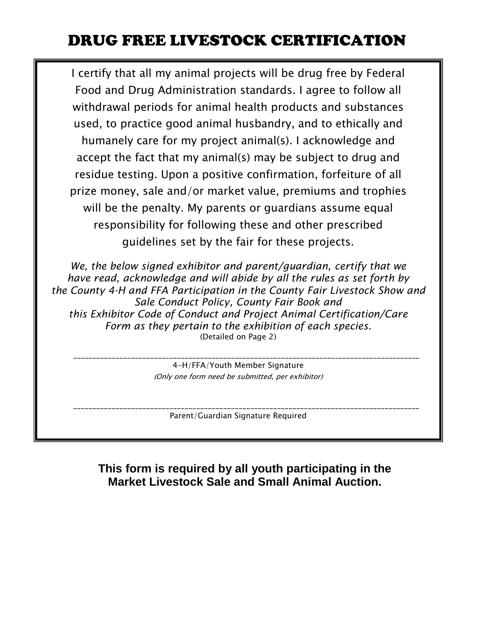## DRUG FREE LIVESTOCK CERTIFICATION

I certify that all my animal projects will be drug free by Federal Food and Drug Administration standards. I agree to follow all withdrawal periods for animal health products and substances used, to practice good animal husbandry, and to ethically and humanely care for my project animal(s). I acknowledge and accept the fact that my animal(s) may be subject to drug and residue testing. Upon a positive confirmation, forfeiture of all prize money, sale and/or market value, premiums and trophies will be the penalty. My parents or guardians assume equal responsibility for following these and other prescribed guidelines set by the fair for these projects.

*We, the below signed exhibitor and parent/guardian, certify that we have read, acknowledge and will abide by all the rules as set forth by the County 4-H and FFA Participation in the County Fair Livestock Show and Sale Conduct Policy, County Fair Book and this Exhibitor Code of Conduct and Project Animal Certification/Care Form as they pertain to the exhibition of each species.* (Detailed on Page 2)

> 4-H/FFA/Youth Member Signature (Only one form need be submitted, per exhibitor)

\_\_\_\_\_\_\_\_\_\_\_\_\_\_\_\_\_\_\_\_\_\_\_\_\_\_\_\_\_\_\_\_\_\_\_\_\_\_\_\_\_\_\_\_\_\_\_\_\_\_\_\_\_\_\_\_\_\_\_\_\_\_\_\_\_\_\_\_\_\_\_\_\_\_\_\_\_\_\_\_\_\_\_\_\_\_\_\_\_\_

Parent/Guardian Signature Required

\_\_\_\_\_\_\_\_\_\_\_\_\_\_\_\_\_\_\_\_\_\_\_\_\_\_\_\_\_\_\_\_\_\_\_\_\_\_\_\_\_\_\_\_\_\_\_\_\_\_\_\_\_\_\_\_\_\_\_\_\_\_\_\_\_\_\_\_\_\_\_\_\_\_\_\_\_\_\_\_\_\_\_\_\_\_\_\_\_\_

**This form is required by all youth participating in the Market Livestock Sale and Small Animal Auction.**